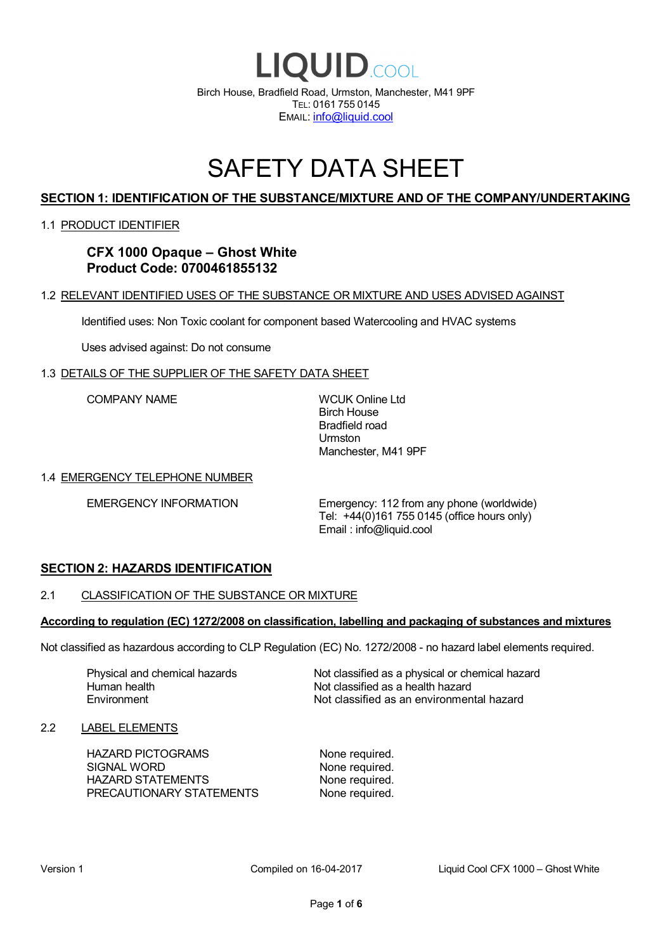

# SAFETY DATA SHEET

# **SECTION 1: IDENTIFICATION OF THE SUBSTANCE/MIXTURE AND OF THE COMPANY/UNDERTAKING**

#### 1.1 PRODUCT IDENTIFIER

**CFX 1000 Opaque – Ghost White Product Code: 0700461855132**

#### 1.2 RELEVANT IDENTIFIED USES OF THE SUBSTANCE OR MIXTURE AND USES ADVISED AGAINST

Identified uses: Non Toxic coolant for component based Watercooling and HVAC systems

Uses advised against: Do not consume

#### 1.3 DETAILS OF THE SUPPLIER OF THE SAFETY DATA SHEET

COMPANY NAME WCUK Online Ltd

Birch House Bradfield road Urmston Manchester, M41 9PF

#### 1.4 EMERGENCY TELEPHONE NUMBER

EMERGENCY INFORMATION Emergency: 112 from any phone (worldwide) Tel: +44(0)161 755 0145 (office hours only) Email : info@liquid.cool

#### **SECTION 2: HAZARDS IDENTIFICATION**

#### 2.1 CLASSIFICATION OF THE SUBSTANCE OR MIXTURE

#### **According to regulation (EC) 1272/2008 on classification, labelling and packaging of substances and mixtures**

Not classified as hazardous according to CLP Regulation (EC) No. 1272/2008 - no hazard label elements required.

Human health **Environment** 

Physical and chemical hazards Not classified as a physical or chemical hazard Not classified as a health hazard Not classified as an environmental hazard

#### 2.2 LABEL ELEMENTS

HAZARD PICTOGRAMS None required. SIGNAL WORD None required. HAZARD STATEMENTS None required. PRECAUTIONARY STATEMENTS None required.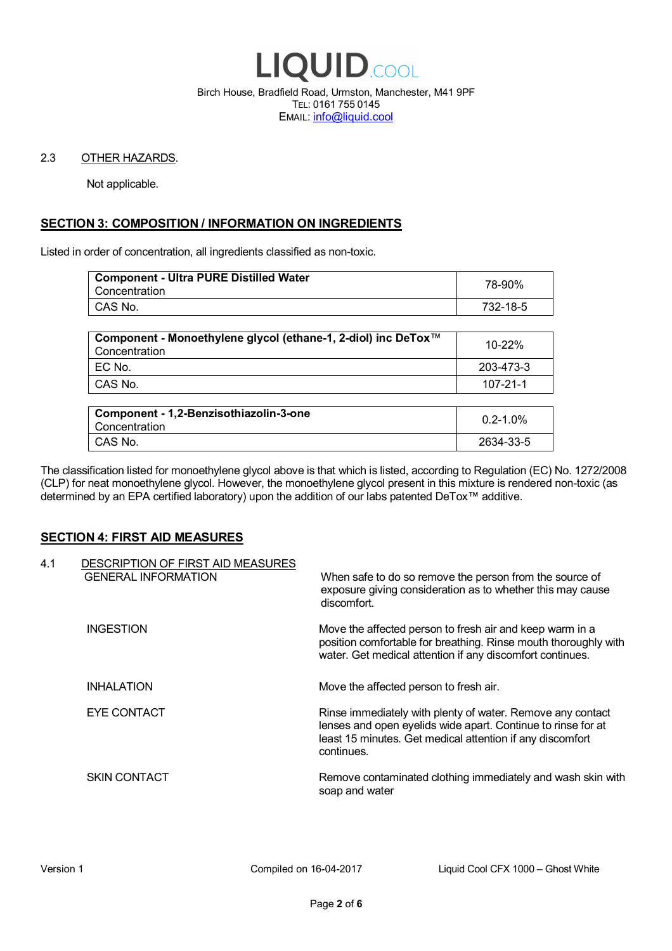

Birch House, Bradfield Road, Urmston, Manchester, M41 9PF TEL: 0161 755 0145 EMAIL: info@liquid.cool

#### 2.3 OTHER HAZARDS.

Not applicable.

# **SECTION 3: COMPOSITION / INFORMATION ON INGREDIENTS**

Listed in order of concentration, all ingredients classified as non-toxic.

| <b>Component - Ultra PURE Distilled Water</b><br>Concentration | 78-90%   |
|----------------------------------------------------------------|----------|
| CAS No.                                                        | 732-18-5 |
|                                                                |          |

| Component - Monoethylene glycol (ethane-1, 2-diol) inc DeTox™<br>Concentration | 10-22%    |
|--------------------------------------------------------------------------------|-----------|
| EC No.                                                                         | 203-473-3 |
| CAS No.                                                                        | 107-21-1  |

| Component - 1,2-Benzisothiazolin-3-one<br>Concentration | $0.2 - 1.0\%$ |
|---------------------------------------------------------|---------------|
| CAS No.                                                 | 2634-33-5     |

The classification listed for monoethylene glycol above is that which is listed, according to Regulation (EC) No. 1272/2008 (CLP) for neat monoethylene glycol. However, the monoethylene glycol present in this mixture is rendered non-toxic (as determined by an EPA certified laboratory) upon the addition of our labs patented DeTox™ additive.

#### **SECTION 4: FIRST AID MEASURES**

| 4.1 | DESCRIPTION OF FIRST AID MEASURES<br><b>GENERAL INFORMATION</b> | When safe to do so remove the person from the source of<br>exposure giving consideration as to whether this may cause<br>discomfort.                                                                  |
|-----|-----------------------------------------------------------------|-------------------------------------------------------------------------------------------------------------------------------------------------------------------------------------------------------|
|     | <b>INGESTION</b>                                                | Move the affected person to fresh air and keep warm in a<br>position comfortable for breathing. Rinse mouth thoroughly with<br>water. Get medical attention if any discomfort continues.              |
|     | <b>INHALATION</b>                                               | Move the affected person to fresh air.                                                                                                                                                                |
|     | EYE CONTACT                                                     | Rinse immediately with plenty of water. Remove any contact<br>lenses and open eyelids wide apart. Continue to rinse for at<br>least 15 minutes. Get medical attention if any discomfort<br>continues. |
|     | <b>SKIN CONTACT</b>                                             | Remove contaminated clothing immediately and wash skin with<br>soap and water                                                                                                                         |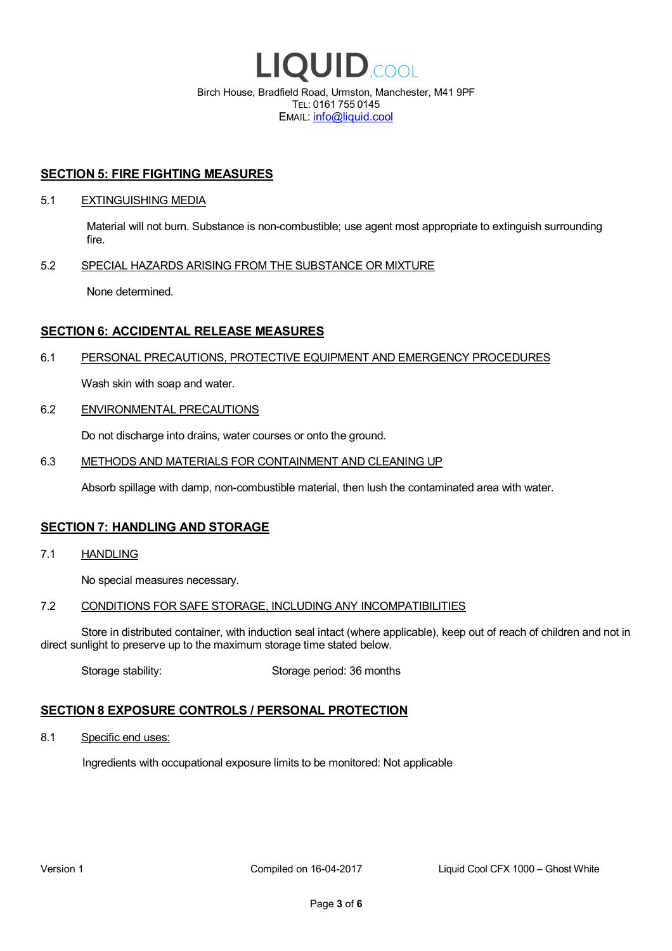

EMAIL: info@liquid.cool

#### **SECTION 5: FIRE FIGHTING MEASURES**

#### 5.1 EXTINGUISHING MEDIA

Material will not burn. Substance is non-combustible; use agent most appropriate to extinguish surrounding fire.

#### 5.2 SPECIAL HAZARDS ARISING FROM THE SUBSTANCE OR MIXTURE

None determined.

## **SECTION 6: ACCIDENTAL RELEASE MEASURES**

#### 6.1 PERSONAL PRECAUTIONS, PROTECTIVE EQUIPMENT AND EMERGENCY PROCEDURES

Wash skin with soap and water.

#### 6.2 ENVIRONMENTAL PRECAUTIONS

Do not discharge into drains, water courses or onto the ground.

#### 6.3 METHODS AND MATERIALS FOR CONTAINMENT AND CLEANING UP

Absorb spillage with damp, non-combustible material, then lush the contaminated area with water.

#### **SECTION 7: HANDLING AND STORAGE**

7.1 HANDLING

No special measures necessary.

#### 7.2 CONDITIONS FOR SAFE STORAGE, INCLUDING ANY INCOMPATIBILITIES

Store in distributed container, with induction seal intact (where applicable), keep out of reach of children and not in direct sunlight to preserve up to the maximum storage time stated below.

Storage stability: Storage period: 36 months

# **SECTION 8 EXPOSURE CONTROLS / PERSONAL PROTECTION**

8.1 Specific end uses:

Ingredients with occupational exposure limits to be monitored: Not applicable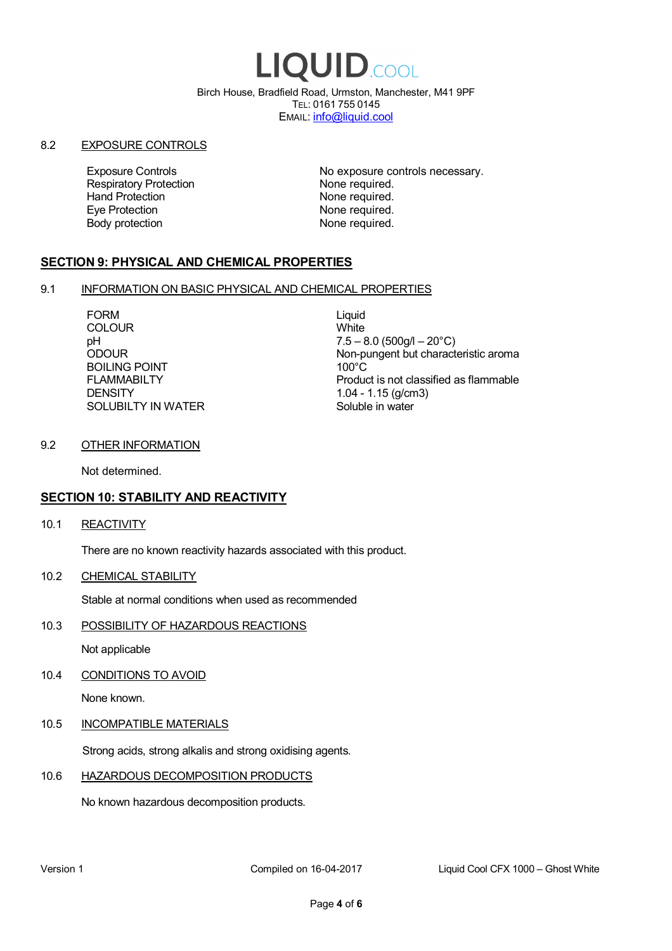# LIQUID.COOL

Birch House, Bradfield Road, Urmston, Manchester, M41 9PF TEL: 0161 755 0145 EMAIL: info@liquid.cool

#### 8.2 EXPOSURE CONTROLS

Respiratory Protection **None required.**<br>
Hand Protection **None required.** Eye Protection **None required.** Body protection None required.

Exposure Controls **Exposure Controls** No exposure controls necessary. None required.

# **SECTION 9: PHYSICAL AND CHEMICAL PROPERTIES**

#### 9.1 INFORMATION ON BASIC PHYSICAL AND CHEMICAL PROPERTIES

FORM Liquid<br>COLOUR Mite **COLOUR** BOILING POINT FLAMMABILTY **DENSITY** SOLUBILTY IN WATER

pH<br>
DDOUR
20°C)
2000UR
2000UR
2000UR
2000UR Non-pungent but characteristic aroma 100°C Product is not classified as flammable 1.04 - 1.15 (g/cm3) Soluble in water

## 9.2 OTHER INFORMATION

Not determined.

# **SECTION 10: STABILITY AND REACTIVITY**

10.1 REACTIVITY

There are no known reactivity hazards associated with this product.

10.2 CHEMICAL STABILITY

Stable at normal conditions when used as recommended

10.3 POSSIBILITY OF HAZARDOUS REACTIONS

Not applicable

10.4 CONDITIONS TO AVOID

None known.

#### 10.5 INCOMPATIBLE MATERIALS

Strong acids, strong alkalis and strong oxidising agents.

#### 10.6 HAZARDOUS DECOMPOSITION PRODUCTS

No known hazardous decomposition products.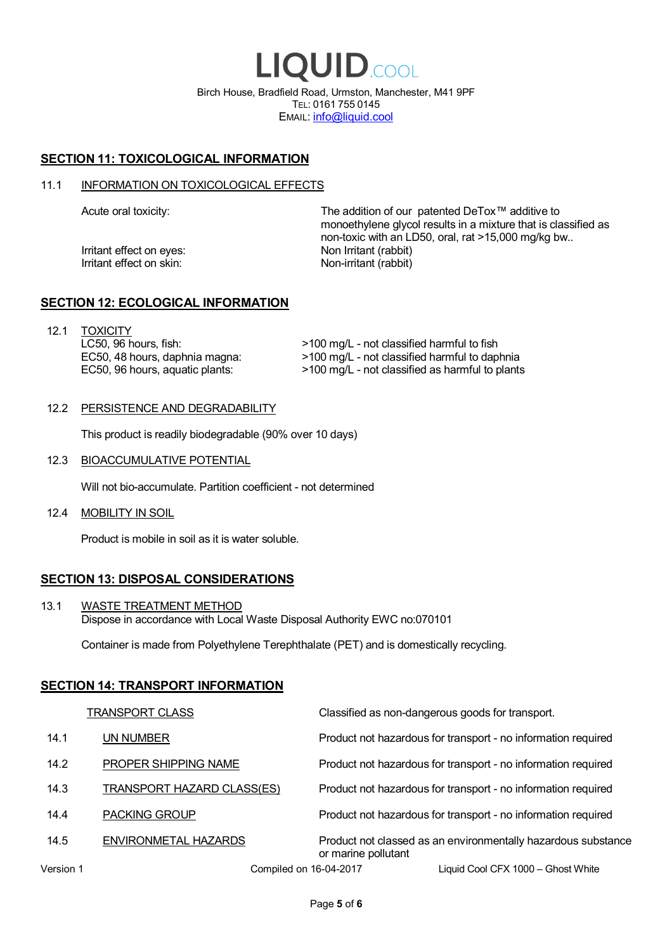LIQUID.COOL Birch House, Bradfield Road, Urmston, Manchester, M41 9PF TEL: 0161 755 0145 EMAIL: info@liquid.cool

# **SECTION 11: TOXICOLOGICAL INFORMATION**

#### 11.1 INFORMATION ON TOXICOLOGICAL EFFECTS

Irritant effect on eves: Non Irritant (rabbit) Irritant effect on skin: Non-irritant (rabbit)

Acute oral toxicity: The addition of our patented DeTox™ additive to monoethylene glycol results in a mixture that is classified as non-toxic with an LD50, oral, rat >15,000 mg/kg bw..

#### **SECTION 12: ECOLOGICAL INFORMATION**

12.1 TOXICITY LC50, 96 hours, fish: EC50, 48 hours, daphnia magna: EC50, 96 hours, aquatic plants:

>100 mg/L - not classified harmful to fish >100 mg/L - not classified harmful to daphnia >100 mg/L - not classified as harmful to plants

#### 12.2 PERSISTENCE AND DEGRADABILITY

This product is readily biodegradable (90% over 10 days)

12.3 BIOACCUMULATIVE POTENTIAL

Will not bio-accumulate. Partition coefficient - not determined

12.4 MOBILITY IN SOIL

Product is mobile in soil as it is water soluble.

# **SECTION 13: DISPOSAL CONSIDERATIONS**

13.1 WASTE TREATMENT METHOD Dispose in accordance with Local Waste Disposal Authority EWC no:070101

Container is made from Polyethylene Terephthalate (PET) and is domestically recycling.

#### **SECTION 14: TRANSPORT INFORMATION**

|           | <b>TRANSPORT CLASS</b>            | Classified as non-dangerous goods for transport.                                     |
|-----------|-----------------------------------|--------------------------------------------------------------------------------------|
| 14.1      | UN NUMBER                         | Product not hazardous for transport - no information required                        |
| 14.2      | PROPER SHIPPING NAME              | Product not hazardous for transport - no information required                        |
| 14.3      | <b>TRANSPORT HAZARD CLASS(ES)</b> | Product not hazardous for transport - no information required                        |
| 14.4      | <b>PACKING GROUP</b>              | Product not hazardous for transport - no information required                        |
| 14.5      | ENVIRONMETAL HAZARDS              | Product not classed as an environmentally hazardous substance<br>or marine pollutant |
| Version 1 | Compiled on 16-04-2017            | Liquid Cool CFX 1000 - Ghost White                                                   |